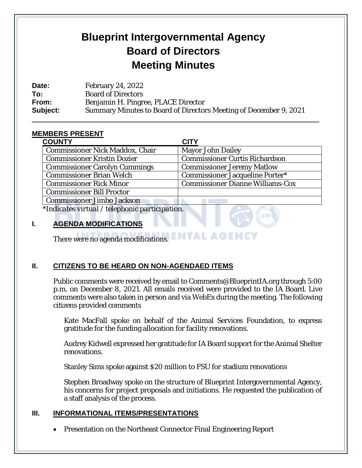# **Blueprint Intergovernmental Agency Board of Directors Meeting Minutes**

**Date:** February 24, 2022 **To:** Board of Directors **From:** Benjamin H. Pingree, PLACE Director **Subject:** Summary Minutes to Board of Directors Meeting of December 9, 2021

# **MEMBERS PRESENT**

 $\overline{a}$ 

| <b>COUNTY</b>                          | <b>CITY</b>                             |
|----------------------------------------|-----------------------------------------|
| <b>Commissioner Nick Maddox, Chair</b> | <b>Mayor John Dailey</b>                |
| <b>Commissioner Kristin Dozier</b>     | <b>Commissioner Curtis Richardson</b>   |
| <b>Commissioner Carolyn Cummings</b>   | <b>Commissioner Jeremy Matlow</b>       |
| <b>Commissioner Brian Welch</b>        | <b>Commissioner Jacqueline Porter*</b>  |
| <b>Commissioner Rick Minor</b>         | <b>Commissioner Dianne Williams-Cox</b> |
| <b>Commissioner Bill Proctor</b>       |                                         |
| <b>Commissioner Jimbo Jackson</b>      |                                         |
|                                        |                                         |

*\*Indicates virtual / telephonic participation.* 

# **I. AGENDA MODIFICATIONS**

There were no agenda modifications. ENTAL AGENCY

## **II. CITIZENS TO BE HEARD ON NON-AGENDAED ITEMS**

Public comments were received by email to Comments@BlueprintIA.org through 5:00 p.m. on December 8, 2021. All emails received were provided to the IA Board. Live comments were also taken in person and via WebEx during the meeting. The following citizens provided comments

Kate MacFall spoke on behalf of the Animal Services Foundation, to express gratitude for the funding allocation for facility renovations.

Audrey Kidwell expressed her gratitude for IA Board support for the Animal Shelter renovations.

Stanley Sims spoke against \$20 million to FSU for stadium renovations

Stephen Broadway spoke on the structure of Blueprint Intergovernmental Agency, his concerns for project proposals and initiations. He requested the publication of a staff analysis of the process.

## **III. INFORMATIONAL ITEMS/PRESENTATIONS**

• Presentation on the Northeast Connector Final Engineering Report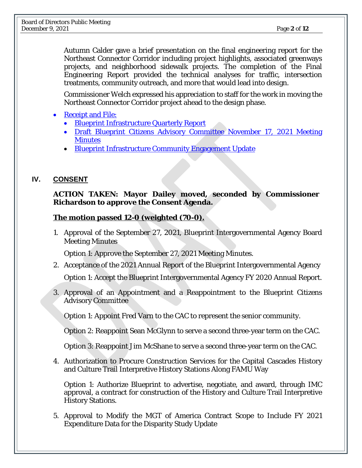Autumn Calder gave a brief presentation on the final engineering report for the Northeast Connector Corridor including project highlights, associated greenways projects, and neighborhood sidewalk projects. The completion of the Final Engineering Report provided the technical analyses for traffic, intersection treatments, community outreach, and more that would lead into design.

Commissioner Welch expressed his appreciation to staff for the work in moving the Northeast Connector Corridor project ahead to the design phase.

- [Receipt and File:](https://blueprintia.org/wp-content/uploads/Receipt_File_12-09-2021.pdf)
	- [Blueprint Infrastructure Quarterly Report](https://blueprintia.org/wp-content/uploads/Receipt_File_12-09-2021.pdf)
	- [Draft Blueprint Citizens Advisory Committee November 17, 2021 Meeting](https://blueprintia.org/wp-content/uploads/Receipt_File_12-09-2021.pdf)  **Minutes**
	- [Blueprint Infrastructure Community Engagement Update](https://blueprintia.org/wp-content/uploads/Receipt_File_12-09-2021.pdf)

# **IV. CONSENT**

#### **ACTION TAKEN: Mayor Dailey moved, seconded by Commissioner Richardson to approve the Consent Agenda.**

# **The motion passed 12-0 (weighted (70-0).**

1. Approval of the September 27, 2021, Blueprint Intergovernmental Agency Board Meeting Minutes

Option 1: Approve the September 27, 2021 Meeting Minutes.

2. Acceptance of the 2021 Annual Report of the Blueprint Intergovernmental Agency

Option 1: Accept the Blueprint Intergovernmental Agency FY 2020 Annual Report.

3. Approval of an Appointment and a Reappointment to the Blueprint Citizens Advisory Committee

Option 1: Appoint Fred Varn to the CAC to represent the senior community.

Option 2: Reappoint Sean McGlynn to serve a second three-year term on the CAC.

Option 3: Reappoint Jim McShane to serve a second three-year term on the CAC.

4. Authorization to Procure Construction Services for the Capital Cascades History and Culture Trail Interpretive History Stations Along FAMU Way

Option 1: Authorize Blueprint to advertise, negotiate, and award, through IMC approval, a contract for construction of the History and Culture Trail Interpretive History Stations.

5. Approval to Modify the MGT of America Contract Scope to Include FY 2021 Expenditure Data for the Disparity Study Update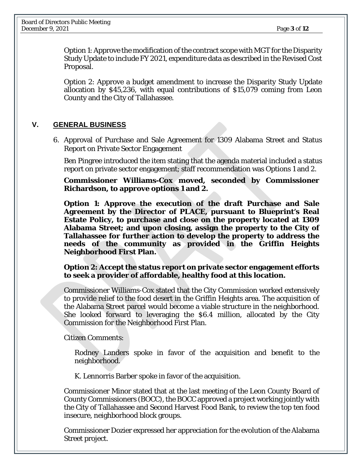Option 1: Approve the modification of the contract scope with MGT for the Disparity Study Update to include FY 2021, expenditure data as described in the Revised Cost Proposal.

Option 2: Approve a budget amendment to increase the Disparity Study Update allocation by \$45,236, with equal contributions of \$15,079 coming from Leon County and the City of Tallahassee.

#### **V. GENERAL BUSINESS**

6. Approval of Purchase and Sale Agreement for 1309 Alabama Street and Status Report on Private Sector Engagement

Ben Pingree introduced the item stating that the agenda material included a status report on private sector engagement; staff recommendation was Options 1 and 2.

**Commissioner Williams-Cox moved, seconded by Commissioner Richardson, to approve options 1 and 2.** 

**Option 1: Approve the execution of the draft Purchase and Sale Agreement by the Director of PLACE, pursuant to Blueprint's Real Estate Policy, to purchase and close on the property located at 1309 Alabama Street; and upon closing, assign the property to the City of Tallahassee for further action to develop the property to address the needs of the community as provided in the Griffin Heights Neighborhood First Plan.**

**Option 2: Accept the status report on private sector engagement efforts to seek a provider of affordable, healthy food at this location.**

Commissioner Williams-Cox stated that the City Commission worked extensively to provide relief to the food desert in the Griffin Heights area. The acquisition of the Alabama Street parcel would become a viable structure in the neighborhood. She looked forward to leveraging the \$6.4 million, allocated by the City Commission for the Neighborhood First Plan.

Citizen Comments:

Rodney Landers spoke in favor of the acquisition and benefit to the neighborhood.

K. Lennorris Barber spoke in favor of the acquisition.

Commissioner Minor stated that at the last meeting of the Leon County Board of County Commissioners (BOCC), the BOCC approved a project working jointly with the City of Tallahassee and Second Harvest Food Bank, to review the top ten food insecure, neighborhood block groups.

Commissioner Dozier expressed her appreciation for the evolution of the Alabama Street project.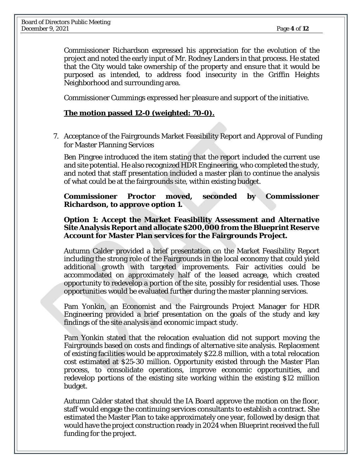Commissioner Richardson expressed his appreciation for the evolution of the project and noted the early input of Mr. Rodney Landers in that process. He stated that the City would take ownership of the property and ensure that it would be purposed as intended, to address food insecurity in the Griffin Heights Neighborhood and surrounding area.

Commissioner Cummings expressed her pleasure and support of the initiative.

## **The motion passed 12-0 (weighted: 70-0).**

7. Acceptance of the Fairgrounds Market Feasibility Report and Approval of Funding for Master Planning Services

Ben Pingree introduced the item stating that the report included the current use and site potential. He also recognized HDR Engineering, who completed the study, and noted that staff presentation included a master plan to continue the analysis of what could be at the fairgrounds site, within existing budget.

**Commissioner Proctor moved, seconded by Commissioner Richardson, to approve option 1.** 

#### **Option 1: Accept the Market Feasibility Assessment and Alternative Site Analysis Report and allocate \$200,000 from the Blueprint Reserve Account for Master Plan services for the Fairgrounds Project.**

Autumn Calder provided a brief presentation on the Market Feasibility Report including the strong role of the Fairgrounds in the local economy that could yield additional growth with targeted improvements. Fair activities could be accommodated on approximately half of the leased acreage, which created opportunity to redevelop a portion of the site, possibly for residential uses. Those opportunities would be evaluated further during the master planning services.

Pam Yonkin, an Economist and the Fairgrounds Project Manager for HDR Engineering provided a brief presentation on the goals of the study and key findings of the site analysis and economic impact study.

Pam Yonkin stated that the relocation evaluation did not support moving the Fairgrounds based on costs and findings of alternative site analysis. Replacement of existing facilities would be approximately \$22.8 million, with a total relocation cost estimated at \$25-30 million. Opportunity existed through the Master Plan process, to consolidate operations, improve economic opportunities, and redevelop portions of the existing site working within the existing \$12 million budget.

Autumn Calder stated that should the IA Board approve the motion on the floor, staff would engage the continuing services consultants to establish a contract. She estimated the Master Plan to take approximately one year, followed by design that would have the project construction ready in 2024 when Blueprint received the full funding for the project.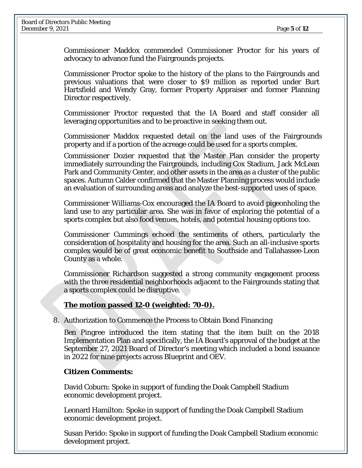Commissioner Maddox commended Commissioner Proctor for his years of advocacy to advance fund the Fairgrounds projects.

Commissioner Proctor spoke to the history of the plans to the Fairgrounds and previous valuations that were closer to \$9 million as reported under Burt Hartsfield and Wendy Gray, former Property Appraiser and former Planning Director respectively.

Commissioner Proctor requested that the IA Board and staff consider all leveraging opportunities and to be proactive in seeking them out.

Commissioner Maddox requested detail on the land uses of the Fairgrounds property and if a portion of the acreage could be used for a sports complex.

Commissioner Dozier requested that the Master Plan consider the property immediately surrounding the Fairgrounds, including Cox Stadium, Jack McLean Park and Community Center, and other assets in the area as a cluster of the public spaces. Autumn Calder confirmed that the Master Planning process would include an evaluation of surrounding areas and analyze the best-supported uses of space.

Commissioner Williams-Cox encouraged the IA Board to avoid pigeonholing the land use to any particular area. She was in favor of exploring the potential of a sports complex but also food venues, hotels, and potential housing options too.

Commissioner Cummings echoed the sentiments of others, particularly the consideration of hospitality and housing for the area. Such an all-inclusive sports complex would be of great economic benefit to Southside and Tallahassee-Leon County as a whole.

Commissioner Richardson suggested a strong community engagement process with the three residential neighborhoods adjacent to the Fairgrounds stating that a sports complex could be disruptive.

## **The motion passed 12-0 (weighted: 70-0).**

8. Authorization to Commence the Process to Obtain Bond Financing

Ben Pingree introduced the item stating that the item built on the 2018 Implementation Plan and specifically, the IA Board's approval of the budget at the September 27, 2021 Board of Director's meeting which included a bond issuance in 2022 for nine projects across Blueprint and OEV.

#### **Citizen Comments:**

David Coburn: Spoke in support of funding the Doak Campbell Stadium economic development project.

Leonard Hamilton: Spoke in support of funding the Doak Campbell Stadium economic development project.

Susan Perido: Spoke in support of funding the Doak Campbell Stadium economic development project.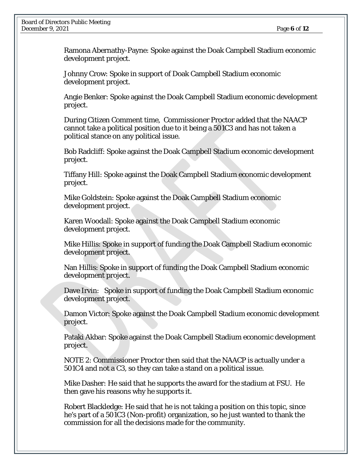Ramona Abernathy-Payne: Spoke against the Doak Campbell Stadium economic development project.

Johnny Crow: Spoke in support of Doak Campbell Stadium economic development project.

Angie Benker: Spoke against the Doak Campbell Stadium economic development project.

During Citizen Comment time, Commissioner Proctor added that the NAACP cannot take a political position due to it being a 501C3 and has not taken a political stance on any political issue.

Bob Radcliff: Spoke against the Doak Campbell Stadium economic development project.

Tiffany Hill: Spoke against the Doak Campbell Stadium economic development project.

Mike Goldstein: Spoke against the Doak Campbell Stadium economic development project.

Karen Woodall: Spoke against the Doak Campbell Stadium economic development project.

Mike Hillis: Spoke in support of funding the Doak Campbell Stadium economic development project.

Nan Hillis: Spoke in support of funding the Doak Campbell Stadium economic development project.

Dave Irvin: Spoke in support of funding the Doak Campbell Stadium economic development project.

Damon Victor: Spoke against the Doak Campbell Stadium economic development project.

Pataki Akbar: Spoke against the Doak Campbell Stadium economic development project.

NOTE 2: Commissioner Proctor then said that the NAACP is actually under a 501C4 and not a C3, so they can take a stand on a political issue.

Mike Dasher: He said that he supports the award for the stadium at FSU. He then gave his reasons why he supports it.

Robert Blackledge: He said that he is not taking a position on this topic, since he's part of a 501C3 (Non-profit) organization, so he just wanted to thank the commission for all the decisions made for the community.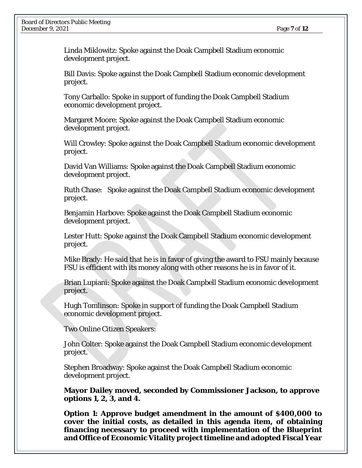Linda Miklowitz: Spoke against the Doak Campbell Stadium economic development project.

Bill Davis: Spoke against the Doak Campbell Stadium economic development project.

Tony Carballo: Spoke in support of funding the Doak Campbell Stadium economic development project.

Margaret Moore: Spoke against the Doak Campbell Stadium economic development project.

Will Crowley: Spoke against the Doak Campbell Stadium economic development project.

David Van Williams: Spoke against the Doak Campbell Stadium economic development project.

Ruth Chase: Spoke against the Doak Campbell Stadium economic development project.

Benjamin Harbove: Spoke against the Doak Campbell Stadium economic development project.

Lester Hutt: Spoke against the Doak Campbell Stadium economic development project.

Mike Brady: He said that he is in favor of giving the award to FSU mainly because FSU is efficient with its money along with other reasons he is in favor of it.

Brian Lupiani: Spoke against the Doak Campbell Stadium economic development project.

Hugh Tomlinson: Spoke in support of funding the Doak Campbell Stadium economic development project.

Two Online Citizen Speakers:

John Colter: Spoke against the Doak Campbell Stadium economic development project.

Stephen Broadway: Spoke against the Doak Campbell Stadium economic development project.

**Mayor Dailey moved, seconded by Commissioner Jackson, to approve options 1, 2, 3, and 4.**

**Option 1: Approve budget amendment in the amount of \$400,000 to cover the initial costs, as detailed in this agenda item, of obtaining financing necessary to proceed with implementation of the Blueprint and Office of Economic Vitality project timeline and adopted Fiscal Year**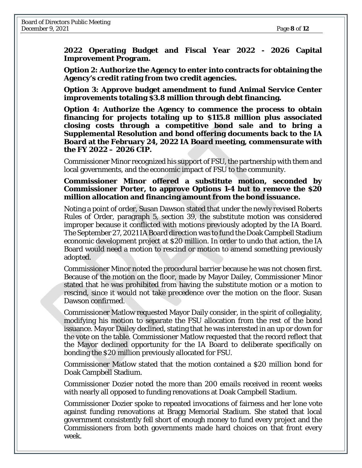**2022 Operating Budget and Fiscal Year 2022 - 2026 Capital Improvement Program.**

**Option 2: Authorize the Agency to enter into contracts for obtaining the Agency's credit rating from two credit agencies.** 

**Option 3: Approve budget amendment to fund Animal Service Center improvements totaling \$3.8 million through debt financing.** 

**Option 4: Authorize the Agency to commence the process to obtain financing for projects totaling up to \$115.8 million plus associated closing costs through a competitive bond sale and to bring a Supplemental Resolution and bond offering documents back to the IA Board at the February 24, 2022 IA Board meeting, commensurate with the FY 2022 – 2026 CIP.**

Commissioner Minor recognized his support of FSU, the partnership with them and local governments, and the economic impact of FSU to the community.

**Commissioner Minor offered a substitute motion, seconded by Commissioner Porter, to approve Options 1-4 but to remove the \$20 million allocation and financing amount from the bond issuance.** 

Noting a point of order, Susan Dawson stated that under the newly revised Roberts Rules of Order, paragraph 5, section 39, the substitute motion was considered improper because it conflicted with motions previously adopted by the IA Board. The September 27, 2021 IA Board direction was to fund the Doak Campbell Stadium economic development project at \$20 million. In order to undo that action, the IA Board would need a motion to rescind or motion to amend something previously adopted.

Commissioner Minor noted the procedural barrier because he was not chosen first. Because of the motion on the floor, made by Mayor Dailey, Commissioner Minor stated that he was prohibited from having the substitute motion or a motion to rescind, since it would not take precedence over the motion on the floor. Susan Dawson confirmed.

Commissioner Matlow requested Mayor Daily consider, in the spirit of collegiality, modifying his motion to separate the FSU allocation from the rest of the bond issuance. Mayor Dailey declined, stating that he was interested in an up or down for the vote on the table. Commissioner Matlow requested that the record reflect that the Mayor declined opportunity for the IA Board to deliberate specifically on bonding the \$20 million previously allocated for FSU.

Commissioner Matlow stated that the motion contained a \$20 million bond for Doak Campbell Stadium.

Commissioner Dozier noted the more than 200 emails received in recent weeks with nearly all opposed to funding renovations at Doak Campbell Stadium.

Commissioner Dozier spoke to repeated invocations of fairness and her lone vote against funding renovations at Bragg Memorial Stadium. She stated that local government consistently fell short of enough money to fund every project and the Commissioners from both governments made hard choices on that front every week.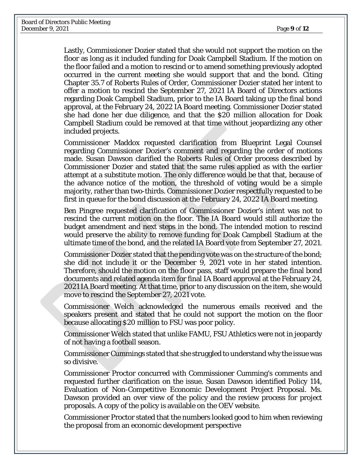Lastly, Commissioner Dozier stated that she would not support the motion on the floor as long as it included funding for Doak Campbell Stadium. If the motion on the floor failed and a motion to rescind or to amend something previously adopted occurred in the current meeting she would support that and the bond. Citing Chapter 35.7 of Roberts Rules of Order, Commissioner Dozier stated her intent to offer a motion to rescind the September 27, 2021 IA Board of Directors actions regarding Doak Campbell Stadium, prior to the IA Board taking up the final bond approval, at the February 24, 2022 IA Board meeting. Commissioner Dozier stated she had done her due diligence, and that the \$20 million allocation for Doak Campbell Stadium could be removed at that time without jeopardizing any other included projects.

Commissioner Maddox requested clarification from Blueprint Legal Counsel regarding Commissioner Dozier's comment and regarding the order of motions made. Susan Dawson clarified the Roberts Rules of Order process described by Commissioner Dozier and stated that the same rules applied as with the earlier attempt at a substitute motion. The only difference would be that that, because of the advance notice of the motion, the threshold of voting would be a simple majority, rather than two-thirds. Commissioner Dozier respectfully requested to be first in queue for the bond discussion at the February 24, 2022 IA Board meeting.

Ben Pingree requested clarification of Commissioner Dozier's intent was not to rescind the current motion on the floor. The IA Board would still authorize the budget amendment and next steps in the bond. The intended motion to rescind would preserve the ability to remove funding for Doak Campbell Stadium at the ultimate time of the bond, and the related IA Board vote from September 27, 2021.

Commissioner Dozier stated that the pending vote was on the structure of the bond; she did not include it or the December 9, 2021 vote in her stated intention. Therefore, should the motion on the floor pass, staff would prepare the final bond documents and related agenda item for final IA Board approval at the February 24, 2021 IA Board meeting. At that time, prior to any discussion on the item, she would move to rescind the September 27, 2021 vote.

Commissioner Welch acknowledged the numerous emails received and the speakers present and stated that he could not support the motion on the floor because allocating \$20 million to FSU was poor policy.

Commissioner Welch stated that unlike FAMU, FSU Athletics were not in jeopardy of not having a football season.

Commissioner Cummings stated that she struggled to understand why the issue was so divisive.

Commissioner Proctor concurred with Commissioner Cumming's comments and requested further clarification on the issue. Susan Dawson identified Policy 114, Evaluation of Non-Competitive Economic Development Project Proposal. Ms. Dawson provided an over view of the policy and the review process for project proposals. A copy of the policy is available on the OEV website.

Commissioner Proctor stated that the numbers looked good to him when reviewing the proposal from an economic development perspective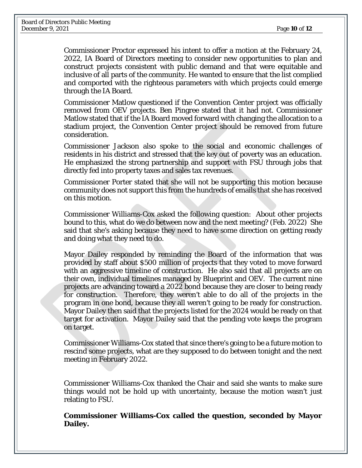Commissioner Proctor expressed his intent to offer a motion at the February 24, 2022, IA Board of Directors meeting to consider new opportunities to plan and construct projects consistent with public demand and that were equitable and inclusive of all parts of the community. He wanted to ensure that the list complied and comported with the righteous parameters with which projects could emerge through the IA Board.

Commissioner Matlow questioned if the Convention Center project was officially removed from OEV projects. Ben Pingree stated that it had not. Commissioner Matlow stated that if the IA Board moved forward with changing the allocation to a stadium project, the Convention Center project should be removed from future consideration.

Commissioner Jackson also spoke to the social and economic challenges of residents in his district and stressed that the key out of poverty was an education. He emphasized the strong partnership and support with FSU through jobs that directly fed into property taxes and sales tax revenues.

Commissioner Porter stated that she will not be supporting this motion because community does not support this from the hundreds of emails that she has received on this motion.

Commissioner Williams-Cox asked the following question: About other projects bound to this, what do we do between now and the next meeting? (Feb. 2022) She said that she's asking because they need to have some direction on getting ready and doing what they need to do.

Mayor Dailey responded by reminding the Board of the information that was provided by staff about \$500 million of projects that they voted to move forward with an aggressive timeline of construction. He also said that all projects are on their own, individual timelines managed by Blueprint and OEV. The current nine projects are advancing toward a 2022 bond because they are closer to being ready for construction. Therefore, they weren't able to do all of the projects in the program in one bond, because they all weren't going to be ready for construction. Mayor Dailey then said that the projects listed for the 2024 would be ready on that target for activation. Mayor Dailey said that the pending vote keeps the program on target.

Commissioner Williams-Cox stated that since there's going to be a future motion to rescind some projects, what are they supposed to do between tonight and the next meeting in February 2022.

Commissioner Williams-Cox thanked the Chair and said she wants to make sure things would not be hold up with uncertainty, because the motion wasn't just relating to FSU.

**Commissioner Williams-Cox called the question, seconded by Mayor Dailey.**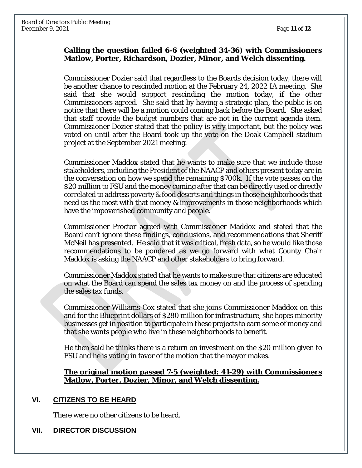#### **Calling the question failed 6-6 (weighted 34-36) with Commissioners Matlow, Porter, Richardson, Dozier, Minor, and Welch dissenting.**

Commissioner Dozier said that regardless to the Boards decision today, there will be another chance to rescinded motion at the February 24, 2022 IA meeting. She said that she would support rescinding the motion today, if the other Commissioners agreed. She said that by having a strategic plan, the public is on notice that there will be a motion could coming back before the Board. She asked that staff provide the budget numbers that are not in the current agenda item. Commissioner Dozier stated that the policy is very important, but the policy was voted on until after the Board took up the vote on the Doak Campbell stadium project at the September 2021 meeting.

Commissioner Maddox stated that he wants to make sure that we include those stakeholders, including the President of the NAACP and others present today are in the conversation on how we spend the remaining \$700k. If the vote passes on the \$20 million to FSU and the money coming after that can be directly used or directly correlated to address poverty & food deserts and things in those neighborhoods that need us the most with that money & improvements in those neighborhoods which have the impoverished community and people.

Commissioner Proctor agreed with Commissioner Maddox and stated that the Board can't ignore these findings, conclusions, and recommendations that Sheriff McNeil has presented. He said that it was critical, fresh data, so he would like those recommendations to be pondered as we go forward with what County Chair Maddox is asking the NAACP and other stakeholders to bring forward.

Commissioner Maddox stated that he wants to make sure that citizens are educated on what the Board can spend the sales tax money on and the process of spending the sales tax funds.

Commissioner Williams-Cox stated that she joins Commissioner Maddox on this and for the Blueprint dollars of \$280 million for infrastructure, she hopes minority businesses get in position to participate in these projects to earn some of money and that she wants people who live in these neighborhoods to benefit.

He then said he thinks there is a return on investment on the \$20 million given to FSU and he is voting in favor of the motion that the mayor makes.

#### **The original motion passed 7-5 (weighted: 41-29) with Commissioners Matlow, Porter, Dozier, Minor, and Welch dissenting.**

#### **VI. CITIZENS TO BE HEARD**

There were no other citizens to be heard.

## **VII. DIRECTOR DISCUSSION**